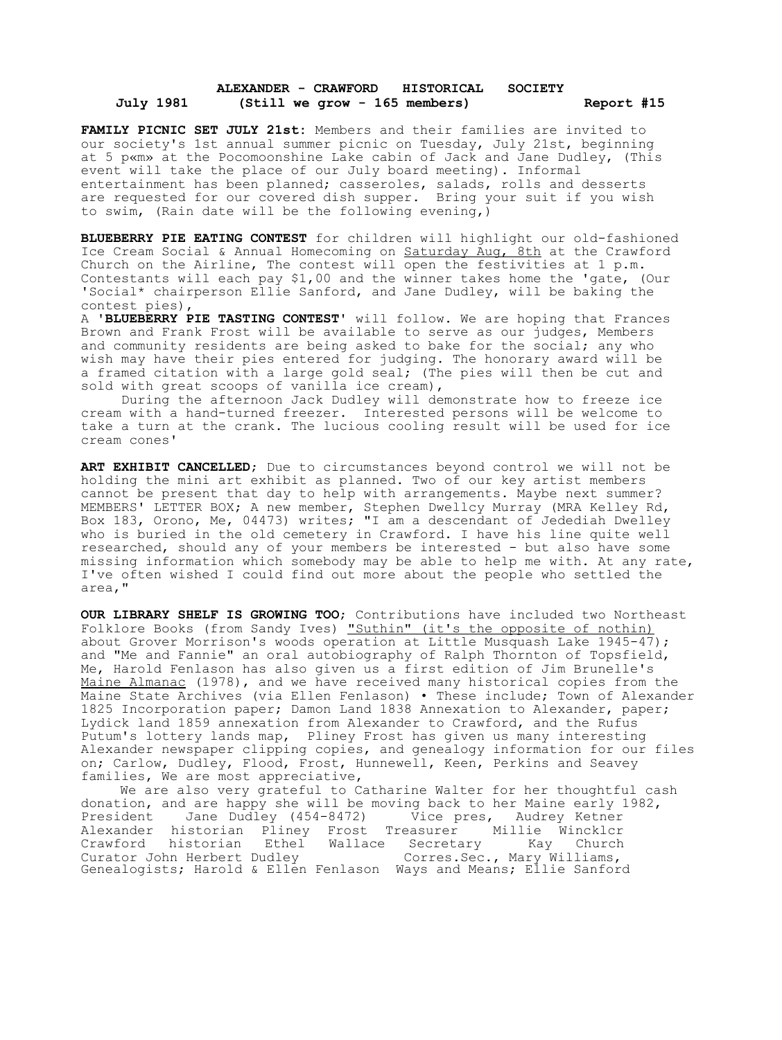## **ALEXANDER - CRAWFORD HISTORICAL SOCIETY July 1981 (Still we grow - 165 members) Report #15**

**FAMILY PICNIC SET JULY 21st:** Members and their families are invited to our society's 1st annual summer picnic on Tuesday, July 21st, beginning at 5 p«m» at the Pocomoonshine Lake cabin of Jack and Jane Dudley, (This event will take the place of our July board meeting). Informal entertainment has been planned; casseroles, salads, rolls and desserts are requested for our covered dish supper. Bring your suit if you wish to swim, (Rain date will be the following evening,)

**BLUEBERRY PIE EATING CONTEST** for children will highlight our old-fashioned Ice Cream Social & Annual Homecoming on Saturday Aug, 8th at the Crawford Church on the Airline, The contest will open the festivities at 1 p.m. Contestants will each pay \$1,00 and the winner takes home the 'gate, (Our 'Social\* chairperson Ellie Sanford, and Jane Dudley, will be baking the contest pies),

A **'BLUEBERRY PIE TASTING CONTEST'** will follow. We are hoping that Frances Brown and Frank Frost will be available to serve as our judges, Members and community residents are being asked to bake for the social; any who wish may have their pies entered for judging. The honorary award will be a framed citation with a large gold seal; (The pies will then be cut and sold with great scoops of vanilla ice cream),

During the afternoon Jack Dudley will demonstrate how to freeze ice cream with a hand-turned freezer. Interested persons will be welcome to take a turn at the crank. The lucious cooling result will be used for ice cream cones'

**ART EXHIBIT CANCELLED**; Due to circumstances beyond control we will not be holding the mini art exhibit as planned. Two of our key artist members cannot be present that day to help with arrangements. Maybe next summer? MEMBERS' LETTER BOX; A new member, Stephen Dwellcy Murray (MRA Kelley Rd, Box 183, Orono, Me, 04473) writes; "I am a descendant of Jedediah Dwelley who is buried in the old cemetery in Crawford. I have his line quite well researched, should any of your members be interested - but also have some missing information which somebody may be able to help me with. At any rate, I've often wished I could find out more about the people who settled the area,"

**OUR LIBRARY SHELF IS GROWING TOO**; Contributions have included two Northeast Folklore Books (from Sandy Ives) "Suthin" (it's the opposite of nothin) about Grover Morrison's woods operation at Little Musquash Lake 1945-47); and "Me and Fannie" an oral autobiography of Ralph Thornton of Topsfield, Me, Harold Fenlason has also given us a first edition of Jim Brunelle's Maine Almanac (1978), and we have received many historical copies from the Maine State Archives (via Ellen Fenlason) • These include; Town of Alexander 1825 Incorporation paper; Damon Land 1838 Annexation to Alexander, paper; Lydick land 1859 annexation from Alexander to Crawford, and the Rufus Putum's lottery lands map, Pliney Frost has given us many interesting Alexander newspaper clipping copies, and genealogy information for our files on; Carlow, Dudley, Flood, Frost, Hunnewell, Keen, Perkins and Seavey families, We are most appreciative,

We are also very grateful to Catharine Walter for her thoughtful cash donation, and are happy she will be moving back to her Maine early 1982, President Jane Dudley (454-8472) Vice pres, Audrey Ketner Alexander historian Pliney Frost Treasurer Millie Wincklcr Crawford historian Ethel Wallace Secretary Kay Church Curator John Herbert Dudley Corres.Sec., Mary Williams, Genealogists; Harold & Ellen Fenlason Ways and Means; Ellie Sanford